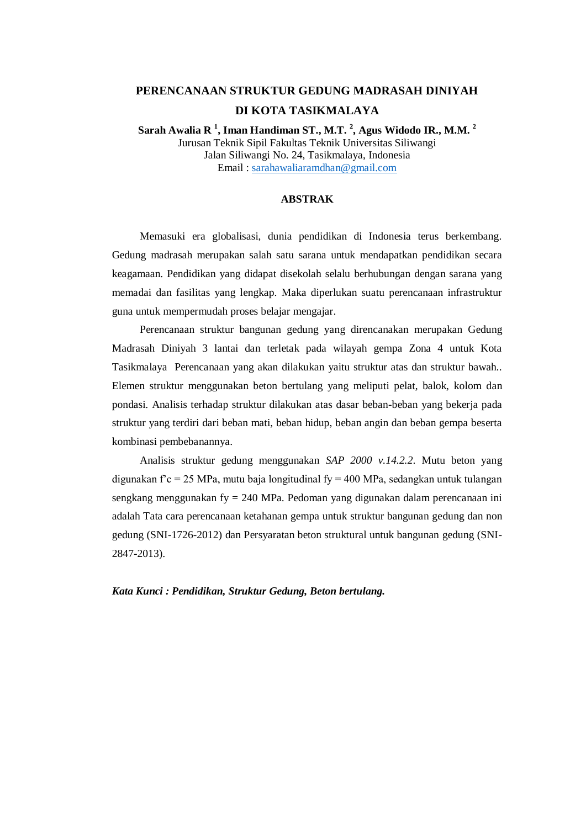## **PERENCANAAN STRUKTUR GEDUNG MADRASAH DINIYAH DI KOTA TASIKMALAYA**

**Sarah Awalia R <sup>1</sup> , Iman Handiman ST., M.T. <sup>2</sup> , Agus Widodo IR., M.M. <sup>2</sup>** Jurusan Teknik Sipil Fakultas Teknik Universitas Siliwangi Jalan Siliwangi No. 24, Tasikmalaya, Indonesia Email : [sarahawaliaramdhan@gmail.com](mailto:sarahawaliaramdhan@gmail.com)

## **ABSTRAK**

Memasuki era globalisasi, dunia pendidikan di Indonesia terus berkembang. Gedung madrasah merupakan salah satu sarana untuk mendapatkan pendidikan secara keagamaan. Pendidikan yang didapat disekolah selalu berhubungan dengan sarana yang memadai dan fasilitas yang lengkap. Maka diperlukan suatu perencanaan infrastruktur guna untuk mempermudah proses belajar mengajar.

Perencanaan struktur bangunan gedung yang direncanakan merupakan Gedung Madrasah Diniyah 3 lantai dan terletak pada wilayah gempa Zona 4 untuk Kota Tasikmalaya Perencanaan yang akan dilakukan yaitu struktur atas dan struktur bawah.. Elemen struktur menggunakan beton bertulang yang meliputi pelat, balok, kolom dan pondasi. Analisis terhadap struktur dilakukan atas dasar beban-beban yang bekerja pada struktur yang terdiri dari beban mati, beban hidup, beban angin dan beban gempa beserta kombinasi pembebanannya.

Analisis struktur gedung menggunakan *SAP 2000 v.14.2.2*. Mutu beton yang digunakan f'c = 25 MPa, mutu baja longitudinal fy = 400 MPa, sedangkan untuk tulangan sengkang menggunakan fy = 240 MPa. Pedoman yang digunakan dalam perencanaan ini adalah Tata cara perencanaan ketahanan gempa untuk struktur bangunan gedung dan non gedung (SNI-1726-2012) dan Persyaratan beton struktural untuk bangunan gedung (SNI-2847-2013).

*Kata Kunci : Pendidikan, Struktur Gedung, Beton bertulang.*